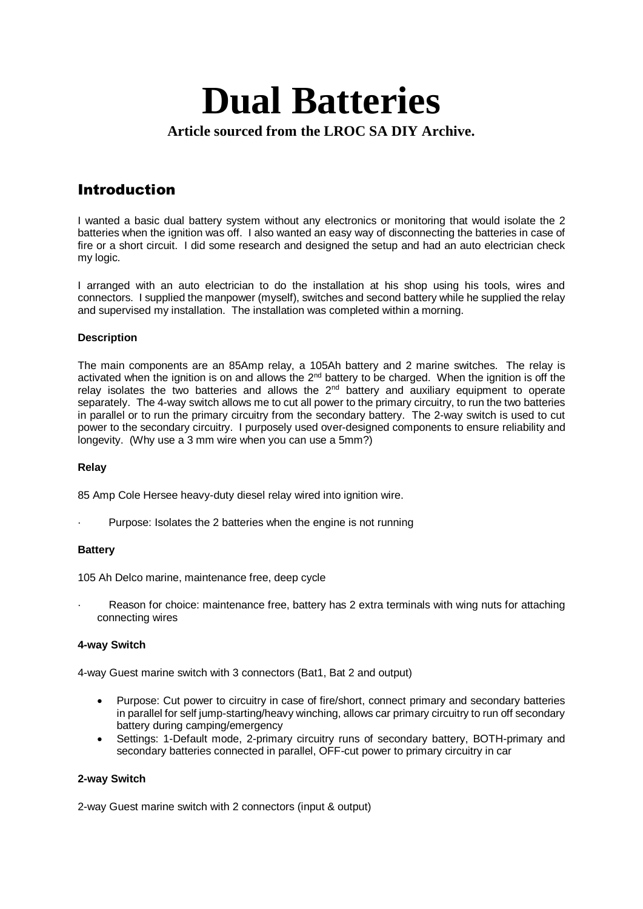# **Dual Batteries Article sourced from the LROC SA DIY Archive.**

# Introduction

I wanted a basic dual battery system without any electronics or monitoring that would isolate the 2 batteries when the ignition was off. I also wanted an easy way of disconnecting the batteries in case of fire or a short circuit. I did some research and designed the setup and had an auto electrician check my logic.

I arranged with an auto electrician to do the installation at his shop using his tools, wires and connectors. I supplied the manpower (myself), switches and second battery while he supplied the relay and supervised my installation. The installation was completed within a morning.

## **Description**

The main components are an 85Amp relay, a 105Ah battery and 2 marine switches. The relay is activated when the ignition is on and allows the  $2^{nd}$  battery to be charged. When the ignition is off the relay isolates the two batteries and allows the  $2<sup>nd</sup>$  battery and auxiliary equipment to operate separately. The 4-way switch allows me to cut all power to the primary circuitry, to run the two batteries in parallel or to run the primary circuitry from the secondary battery. The 2-way switch is used to cut power to the secondary circuitry. I purposely used over-designed components to ensure reliability and longevity. (Why use a 3 mm wire when you can use a 5mm?)

### **Relay**

85 Amp Cole Hersee heavy-duty diesel relay wired into ignition wire.

Purpose: Isolates the 2 batteries when the engine is not running

### **Battery**

105 Ah Delco marine, maintenance free, deep cycle

Reason for choice: maintenance free, battery has 2 extra terminals with wing nuts for attaching connecting wires

### **4-way Switch**

4-way Guest marine switch with 3 connectors (Bat1, Bat 2 and output)

- Purpose: Cut power to circuitry in case of fire/short, connect primary and secondary batteries in parallel for self jump-starting/heavy winching, allows car primary circuitry to run off secondary battery during camping/emergency
- Settings: 1-Default mode, 2-primary circuitry runs of secondary battery, BOTH-primary and secondary batteries connected in parallel, OFF-cut power to primary circuitry in car

### **2-way Switch**

2-way Guest marine switch with 2 connectors (input & output)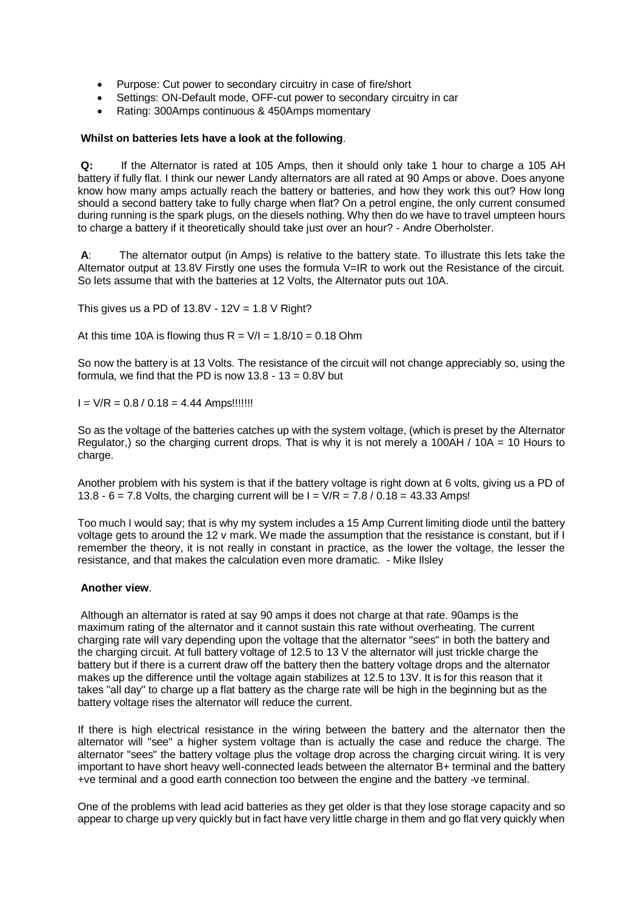- Purpose: Cut power to secondary circuitry in case of fire/short
- Settings: ON-Default mode, OFF-cut power to secondary circuitry in car
- Rating: 300Amps continuous & 450Amps momentary

#### **Whilst on batteries lets have a look at the following**.

**Q:** If the Alternator is rated at 105 Amps, then it should only take 1 hour to charge a 105 AH battery if fully flat. I think our newer Landy alternators are all rated at 90 Amps or above. Does anyone know how many amps actually reach the battery or batteries, and how they work this out? How long should a second battery take to fully charge when flat? On a petrol engine, the only current consumed during running is the spark plugs, on the diesels nothing. Why then do we have to travel umpteen hours to charge a battery if it theoretically should take just over an hour? - Andre Oberholster.

**A**: The alternator output (in Amps) is relative to the battery state. To illustrate this lets take the Alternator output at 13.8V Firstly one uses the formula V=IR to work out the Resistance of the circuit. So lets assume that with the batteries at 12 Volts, the Alternator puts out 10A.

This gives us a PD of  $13.8V - 12V = 1.8 V$  Right?

At this time 10A is flowing thus  $R = V/I = 1.8/10 = 0.18$  Ohm

So now the battery is at 13 Volts. The resistance of the circuit will not change appreciably so, using the formula, we find that the PD is now  $13.8 - 13 = 0.8V$  but

 $I = V/R = 0.8 / 0.18 = 4.44$  Amps!!!!!!!!

So as the voltage of the batteries catches up with the system voltage, (which is preset by the Alternator Regulator,) so the charging current drops. That is why it is not merely a 100AH / 10A = 10 Hours to charge.

Another problem with his system is that if the battery voltage is right down at 6 volts, giving us a PD of 13.8 - 6 = 7.8 Volts, the charging current will be  $I = V/R = 7.8 / 0.18 = 43.33$  Amps!

Too much I would say; that is why my system includes a 15 Amp Current limiting diode until the battery voltage gets to around the 12 v mark. We made the assumption that the resistance is constant, but if I remember the theory, it is not really in constant in practice, as the lower the voltage, the lesser the resistance, and that makes the calculation even more dramatic. - Mike Ilsley

#### **Another view**.

Although an alternator is rated at say 90 amps it does not charge at that rate. 90amps is the maximum rating of the alternator and it cannot sustain this rate without overheating. The current charging rate will vary depending upon the voltage that the alternator "sees" in both the battery and the charging circuit. At full battery voltage of 12.5 to 13 V the alternator will just trickle charge the battery but if there is a current draw off the battery then the battery voltage drops and the alternator makes up the difference until the voltage again stabilizes at 12.5 to 13V. It is for this reason that it takes "all day" to charge up a flat battery as the charge rate will be high in the beginning but as the battery voltage rises the alternator will reduce the current.

If there is high electrical resistance in the wiring between the battery and the alternator then the alternator will "see" a higher system voltage than is actually the case and reduce the charge. The alternator "sees" the battery voltage plus the voltage drop across the charging circuit wiring. It is very important to have short heavy well-connected leads between the alternator B+ terminal and the battery +ve terminal and a good earth connection too between the engine and the battery -ve terminal.

One of the problems with lead acid batteries as they get older is that they lose storage capacity and so appear to charge up very quickly but in fact have very little charge in them and go flat very quickly when